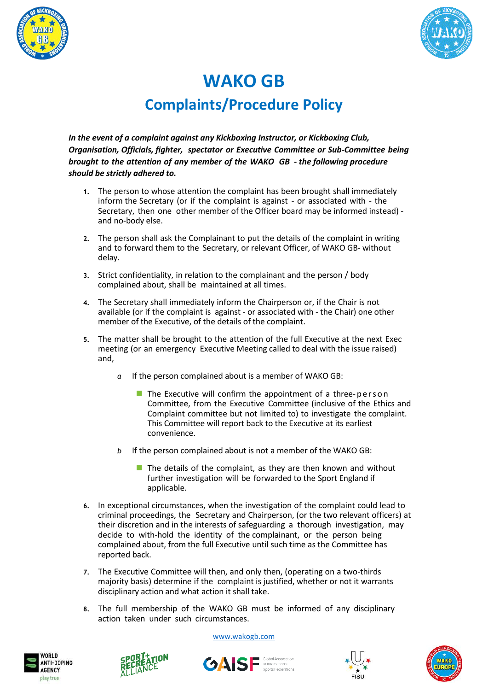



## **WAKO GB Complaints/Procedure Policy**

*In the event of a complaint against any Kickboxing Instructor, or Kickboxing Club, Organisation, Officials, fighter, spectator or Executive Committee or Sub-Committee being brought to the attention of any member of the WAKO GB - the following procedure should be strictly adhered to.*

- **1.** The person to whose attention the complaint has been brought shall immediately inform the Secretary (or if the complaint is against - or associated with - the Secretary, then one other member of the Officer board may be informed instead) and no-body else.
- **2.** The person shall ask the Complainant to put the details of the complaint in writing and to forward them to the Secretary, or relevant Officer, of WAKO GB- without delay.
- **3.** Strict confidentiality, in relation to the complainant and the person / body complained about, shall be maintained at all times.
- **4.** The Secretary shall immediately inform the Chairperson or, if the Chair is not available (or if the complaint is against - or associated with - the Chair) one other member of the Executive, of the details of the complaint.
- **5.** The matter shall be brought to the attention of the full Executive at the next Exec meeting (or an emergency Executive Meeting called to deal with the issue raised) and,
	- *a* If the person complained about is a member of WAKO GB:
		- $\blacksquare$  The Executive will confirm the appointment of a three-person Committee, from the Executive Committee (inclusive of the Ethics and Complaint committee but not limited to) to investigate the complaint. This Committee will report back to the Executive at its earliest convenience.
	- *b* If the person complained about is not a member of the WAKO GB:
		- $\blacksquare$  The details of the complaint, as they are then known and without further investigation will be forwarded to the Sport England if applicable.
- **6.** In exceptional circumstances, when the investigation of the complaint could lead to criminal proceedings, the Secretary and Chairperson, (or the two relevant officers) at their discretion and in the interests of safeguarding a thorough investigation, may decide to with-hold the identity of the complainant, or the person being complained about, from the full Executive until such time as the Committee has reported back.
- **7.** The Executive Committee will then, and only then, (operating on a two-thirds majority basis) determine if the complaint is justified, whether or not it warrants disciplinary action and what action it shall take.
- **8.** The full membership of the WAKO GB must be informed of any disciplinary action taken under such circumstances.

[www.wakogb.com](http://www.wakogb.com/)